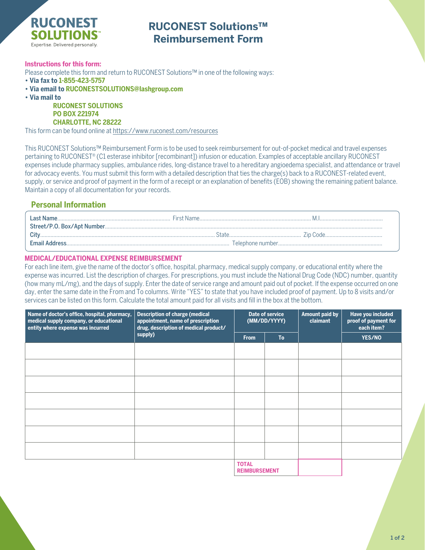

# **RUCONEST Solutions™ Reimbursement Form**

### **Instructions for this form:**

Please complete this form and return to RUCONEST Solutions™ in one of the following ways:

- **Via fax to 1-855-423-5757**
- **Via email to RUCONESTSOLUTIONS@lashgroup.com**
- **Via mail to**

**RUCONEST SOLUTIONS PO BOX 221974 CHARLOTTE, NC 28222**

This form can be found online at <https://www.ruconest.com/resources>

This RUCONEST Solutions™ Reimbursement Form is to be used to seek reimbursement for out-of-pocket medical and travel expenses pertaining to RUCONEST® (C1 esterase inhibitor [recombinant]) infusion or education. Examples of acceptable ancillary RUCONEST expenses include pharmacy supplies, ambulance rides, long-distance travel to a hereditary angioedema specialist, and attendance or travel for advocacy events. You must submit this form with a detailed description that ties the charge(s) back to a RUCONEST-related event, supply, or service and proof of payment in the form of a receipt or an explanation of benefits (EOB) showing the remaining patient balance. Maintain a copy of all documentation for your records.

## **Personal Information**

| i ast Name     |  |
|----------------|--|
|                |  |
|                |  |
| Email Address. |  |

### **MEDICAL/EDUCATIONAL EXPENSE REIMBURSEMENT**

For each line item, give the name of the doctor's office, hospital, pharmacy, medical supply company, or educational entity where the expense was incurred. List the description of charges. For prescriptions, you must include the National Drug Code (NDC) number, quantity (how many mL/mg), and the days of supply. Enter the date of service range and amount paid out of pocket. If the expense occurred on one day, enter the same date in the From and To columns. Write "YES" to state that you have included proof of payment. Up to 8 visits and/or services can be listed on this form. Calculate the total amount paid for all visits and fill in the box at the bottom.

| Name of doctor's office, hospital, pharmacy,<br>medical supply company, or educational<br>entity where expense was incurred | <b>Description of charge (medical</b><br>appointment, name of prescription<br>drug, description of medical product/<br>supply) | Date of service<br>(MM/DD/YYYY)      |           | <b>Amount paid by</b><br>claimant | Have you included<br>proof of payment for<br>each item? |
|-----------------------------------------------------------------------------------------------------------------------------|--------------------------------------------------------------------------------------------------------------------------------|--------------------------------------|-----------|-----------------------------------|---------------------------------------------------------|
|                                                                                                                             |                                                                                                                                | <b>From</b>                          | <b>To</b> |                                   | <b>YES/NO</b>                                           |
|                                                                                                                             |                                                                                                                                |                                      |           |                                   |                                                         |
|                                                                                                                             |                                                                                                                                |                                      |           |                                   |                                                         |
|                                                                                                                             |                                                                                                                                |                                      |           |                                   |                                                         |
|                                                                                                                             |                                                                                                                                |                                      |           |                                   |                                                         |
|                                                                                                                             |                                                                                                                                |                                      |           |                                   |                                                         |
|                                                                                                                             |                                                                                                                                |                                      |           |                                   |                                                         |
|                                                                                                                             |                                                                                                                                |                                      |           |                                   |                                                         |
|                                                                                                                             |                                                                                                                                | <b>TOTAL</b><br><b>REIMBURSEMENT</b> |           |                                   |                                                         |